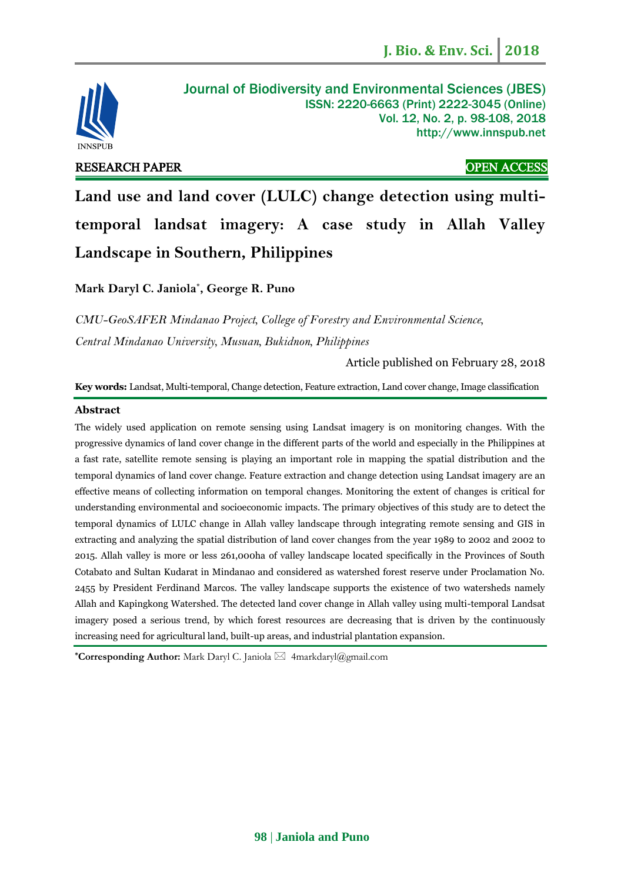

# RESEARCH PAPER OPEN ACCESS

## Journal of Biodiversity and Environmental Sciences (JBES) ISSN: 2220-6663 (Print) 2222-3045 (Online) Vol. 12, No. 2, p. 98-108, 2018 http://www.innspub.net

**Land use and land cover (LULC) change detection using multitemporal landsat imagery: A case study in Allah Valley Landscape in Southern, Philippines**

**Mark Daryl C. Janiola\* , George R. Puno**

*CMU-GeoSAFER Mindanao Project, College of Forestry and Environmental Science, Central Mindanao University, Musuan, Bukidnon, Philippines*

Article published on February 28, 2018

**Key words:** Landsat, Multi-temporal, Change detection, Feature extraction, Land cover change, Image classification

### **Abstract**

The widely used application on remote sensing using Landsat imagery is on monitoring changes. With the progressive dynamics of land cover change in the different parts of the world and especially in the Philippines at a fast rate, satellite remote sensing is playing an important role in mapping the spatial distribution and the temporal dynamics of land cover change. Feature extraction and change detection using Landsat imagery are an effective means of collecting information on temporal changes. Monitoring the extent of changes is critical for understanding environmental and socioeconomic impacts. The primary objectives of this study are to detect the temporal dynamics of LULC change in Allah valley landscape through integrating remote sensing and GIS in extracting and analyzing the spatial distribution of land cover changes from the year 1989 to 2002 and 2002 to 2015. Allah valley is more or less 261,000ha of valley landscape located specifically in the Provinces of South Cotabato and Sultan Kudarat in Mindanao and considered as watershed forest reserve under Proclamation No. 2455 by President Ferdinand Marcos. The valley landscape supports the existence of two watersheds namely Allah and Kapingkong Watershed. The detected land cover change in Allah valley using multi-temporal Landsat imagery posed a serious trend, by which forest resources are decreasing that is driven by the continuously increasing need for agricultural land, built-up areas, and industrial plantation expansion.

**\*Corresponding Author:** Mark Daryl C. Janiola ⊠ [4markdaryl@gmail.com](mailto:4markdaryl@gmail.com)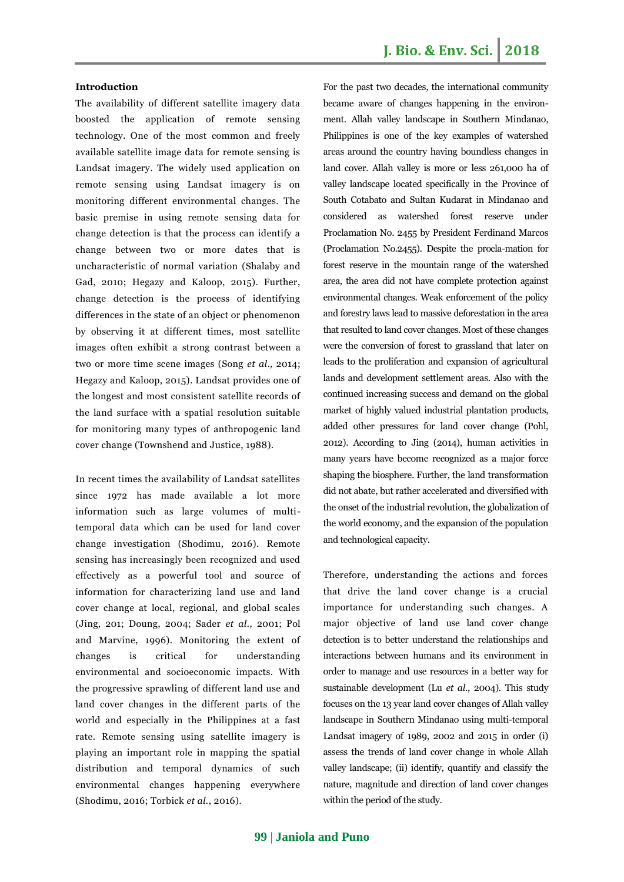#### **Introduction**

The availability of different satellite imagery data boosted the application of remote sensing technology. One of the most common and freely available satellite image data for remote sensing is Landsat imagery. The widely used application on remote sensing using Landsat imagery is on monitoring different environmental changes. The basic premise in using remote sensing data for change detection is that the process can identify a change between two or more dates that is uncharacteristic of normal variation (Shalaby and Gad, 2010; Hegazy and Kaloop, 2015). Further, change detection is the process of identifying differences in the state of an object or phenomenon by observing it at different times, most satellite images often exhibit a strong contrast between a two or more time scene images (Song *et al.,* 2014; Hegazy and Kaloop, 2015). Landsat provides one of the longest and most consistent satellite records of the land surface with a spatial resolution suitable for monitoring many types of anthropogenic land cover change (Townshend and Justice, 1988).

In recent times the availability of Landsat satellites since 1972 has made available a lot more information such as large volumes of multitemporal data which can be used for land cover change investigation (Shodimu, 2016). Remote sensing has increasingly been recognized and used effectively as a powerful tool and source of information for characterizing land use and land cover change at local, regional, and global scales (Jing, 201; Doung, 2004; Sader *et al.,* 2001; Pol and Marvine, 1996). Monitoring the extent of changes is critical for understanding environmental and socioeconomic impacts. With the progressive sprawling of different land use and land cover changes in the different parts of the world and especially in the Philippines at a fast rate. Remote sensing using satellite imagery is playing an important role in mapping the spatial distribution and temporal dynamics of such environmental changes happening everywhere (Shodimu, 2016; Torbick *et al.*, 2016).

For the past two decades, the international community became aware of changes happening in the environment. Allah valley landscape in Southern Mindanao, Philippines is one of the key examples of watershed areas around the country having boundless changes in land cover. Allah valley is more or less 261,000 ha of valley landscape located specifically in the Province of South Cotabato and Sultan Kudarat in Mindanao and considered as watershed forest reserve under Proclamation No. 2455 by President Ferdinand Marcos (Proclamation No.2455). Despite the procla-mation for forest reserve in the mountain range of the watershed area, the area did not have complete protection against environmental changes. Weak enforcement of the policy and forestry laws lead to massive deforestation in the area that resulted to land cover changes. Most of these changes were the conversion of forest to grassland that later on leads to the proliferation and expansion of agricultural lands and development settlement areas. Also with the continued increasing success and demand on the global market of highly valued industrial plantation products, added other pressures for land cover change (Pohl, 2012). According to Jing (2014), human activities in many years have become recognized as a major force shaping the biosphere. Further, the land transformation did not abate, but rather accelerated and diversified with the onset of the industrial revolution, the globalization of the world economy, and the expansion of the population and technological capacity.

Therefore, understanding the actions and forces that drive the land cover change is a crucial importance for understanding such changes. A major objective of land use land cover change detection is to better understand the relationships and interactions between humans and its environment in order to manage and use resources in a better way for sustainable development (Lu *et al*., 2004). This study focuses on the 13 year land cover changes of Allah valley landscape in Southern Mindanao using multi-temporal Landsat imagery of 1989, 2002 and 2015 in order (i) assess the trends of land cover change in whole Allah valley landscape; (ii) identify, quantify and classify the nature, magnitude and direction of land cover changes within the period of the study.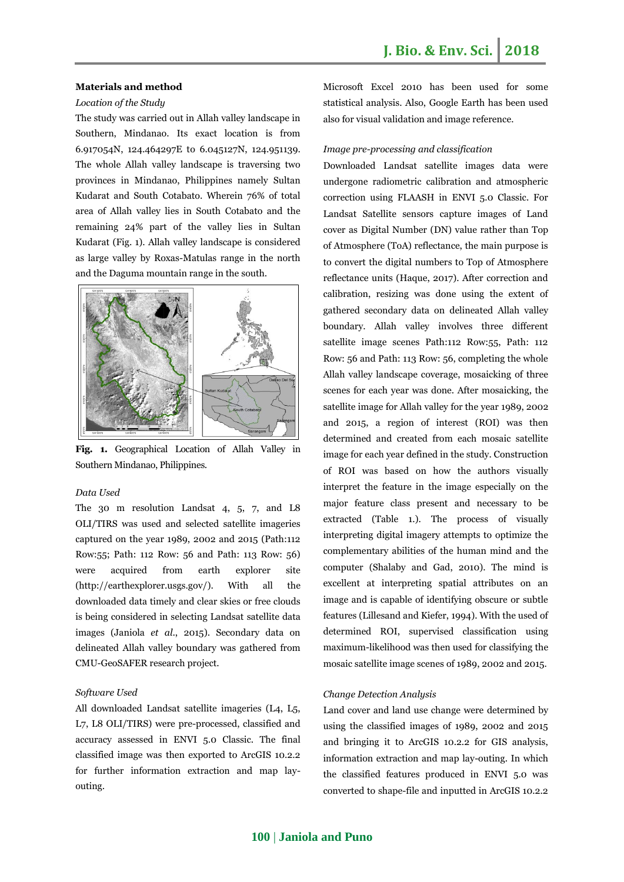#### **Materials and method**

#### *Location of the Study*

The study was carried out in Allah valley landscape in Southern, Mindanao. Its exact location is from 6.917054N, 124.464297E to 6.045127N, 124.951139. The whole Allah valley landscape is traversing two provinces in Mindanao, Philippines namely Sultan Kudarat and South Cotabato. Wherein 76% of total area of Allah valley lies in South Cotabato and the remaining 24% part of the valley lies in Sultan Kudarat (Fig. 1). Allah valley landscape is considered as large valley by Roxas-Matulas range in the north and the Daguma mountain range in the south.



**Fig. 1.** Geographical Location of Allah Valley in Southern Mindanao, Philippines.

#### *Data Used*

The 30 m resolution Landsat 4, 5, 7, and L8 OLI/TIRS was used and selected satellite imageries captured on the year 1989, 2002 and 2015 (Path:112 Row:55; Path: 112 Row: 56 and Path: 113 Row: 56) were acquired from earth explorer site [\(http://earthexplorer.usgs.gov/\)](http://earthexplorer.usgs.gov/). With all the downloaded data timely and clear skies or free clouds is being considered in selecting Landsat satellite data images (Janiola *et al*., 2015). Secondary data on delineated Allah valley boundary was gathered from CMU-GeoSAFER research project.

#### *Software Used*

All downloaded Landsat satellite imageries (L4, L5, L7, L8 OLI/TIRS) were pre-processed, classified and accuracy assessed in ENVI 5.0 Classic. The final classified image was then exported to ArcGIS 10.2.2 for further information extraction and map layouting.

Microsoft Excel 2010 has been used for some statistical analysis. Also, Google Earth has been used also for visual validation and image reference.

#### *Image pre-processing and classification*

Downloaded Landsat satellite images data were undergone radiometric calibration and atmospheric correction using FLAASH in ENVI 5.0 Classic. For Landsat Satellite sensors capture images of Land cover as Digital Number (DN) value rather than Top of Atmosphere (ToA) reflectance, the main purpose is to convert the digital numbers to Top of Atmosphere reflectance units (Haque, 2017). After correction and calibration, resizing was done using the extent of gathered secondary data on delineated Allah valley boundary. Allah valley involves three different satellite image scenes Path:112 Row:55, Path: 112 Row: 56 and Path: 113 Row: 56, completing the whole Allah valley landscape coverage, mosaicking of three scenes for each year was done. After mosaicking, the satellite image for Allah valley for the year 1989, 2002 and 2015, a region of interest (ROI) was then determined and created from each mosaic satellite image for each year defined in the study. Construction of ROI was based on how the authors visually interpret the feature in the image especially on the major feature class present and necessary to be extracted (Table 1.). The process of visually interpreting digital imagery attempts to optimize the complementary abilities of the human mind and the computer (Shalaby and Gad, 2010). The mind is excellent at interpreting spatial attributes on an image and is capable of identifying obscure or subtle features (Lillesand and Kiefer, 1994). With the used of determined ROI, supervised classification using maximum-likelihood was then used for classifying the mosaic satellite image scenes of 1989, 2002 and 2015.

#### *Change Detection Analysis*

Land cover and land use change were determined by using the classified images of 1989, 2002 and 2015 and bringing it to ArcGIS 10.2.2 for GIS analysis, information extraction and map lay-outing. In which the classified features produced in ENVI 5.0 was converted to shape-file and inputted in ArcGIS 10.2.2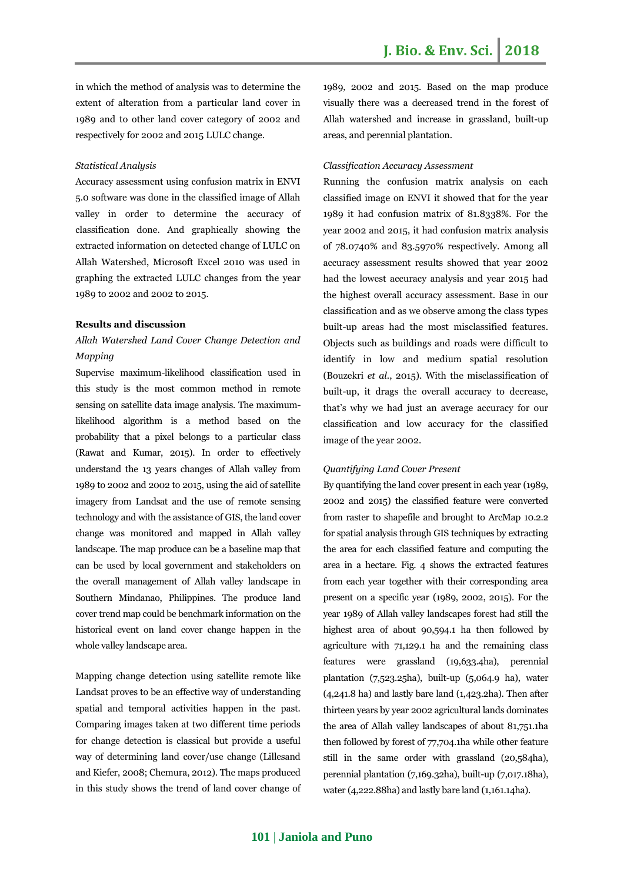in which the method of analysis was to determine the extent of alteration from a particular land cover in 1989 and to other land cover category of 2002 and respectively for 2002 and 2015 LULC change.

#### *Statistical Analysis*

Accuracy assessment using confusion matrix in ENVI 5.0 software was done in the classified image of Allah valley in order to determine the accuracy of classification done. And graphically showing the extracted information on detected change of LULC on Allah Watershed, Microsoft Excel 2010 was used in graphing the extracted LULC changes from the year 1989 to 2002 and 2002 to 2015.

#### **Results and discussion**

## *Allah Watershed Land Cover Change Detection and Mapping*

Supervise maximum-likelihood classification used in this study is the most common method in remote sensing on satellite data image analysis. The maximumlikelihood algorithm is a method based on the probability that a pixel belongs to a particular class (Rawat and Kumar, 2015). In order to effectively understand the 13 years changes of Allah valley from 1989 to 2002 and 2002 to 2015, using the aid of satellite imagery from Landsat and the use of remote sensing technology and with the assistance of GIS, the land cover change was monitored and mapped in Allah valley landscape. The map produce can be a baseline map that can be used by local government and stakeholders on the overall management of Allah valley landscape in Southern Mindanao, Philippines. The produce land cover trend map could be benchmark information on the historical event on land cover change happen in the whole valley landscape area.

Mapping change detection using satellite remote like Landsat proves to be an effective way of understanding spatial and temporal activities happen in the past. Comparing images taken at two different time periods for change detection is classical but provide a useful way of determining land cover/use change (Lillesand and Kiefer, 2008; Chemura, 2012). The maps produced in this study shows the trend of land cover change of 1989, 2002 and 2015. Based on the map produce visually there was a decreased trend in the forest of Allah watershed and increase in grassland, built-up areas, and perennial plantation.

#### *Classification Accuracy Assessment*

Running the confusion matrix analysis on each classified image on ENVI it showed that for the year 1989 it had confusion matrix of 81.8338%. For the year 2002 and 2015, it had confusion matrix analysis of 78.0740% and 83.5970% respectively. Among all accuracy assessment results showed that year 2002 had the lowest accuracy analysis and year 2015 had the highest overall accuracy assessment. Base in our classification and as we observe among the class types built-up areas had the most misclassified features. Objects such as buildings and roads were difficult to identify in low and medium spatial resolution (Bouzekri *et al*., 2015). With the misclassification of built-up, it drags the overall accuracy to decrease, that's why we had just an average accuracy for our classification and low accuracy for the classified image of the year 2002.

#### *Quantifying Land Cover Present*

By quantifying the land cover present in each year (1989, 2002 and 2015) the classified feature were converted from raster to shapefile and brought to ArcMap 10.2.2 for spatial analysis through GIS techniques by extracting the area for each classified feature and computing the area in a hectare. Fig. 4 shows the extracted features from each year together with their corresponding area present on a specific year (1989, 2002, 2015). For the year 1989 of Allah valley landscapes forest had still the highest area of about 90,594.1 ha then followed by agriculture with 71,129.1 ha and the remaining class features were grassland (19,633.4ha), perennial plantation (7,523.25ha), built-up (5,064.9 ha), water  $(4,241.8$  ha) and lastly bare land  $(1,423.2)$ ha). Then after thirteen years by year 2002 agricultural lands dominates the area of Allah valley landscapes of about 81,751.1ha then followed by forest of 77,704.1ha while other feature still in the same order with grassland (20,584ha), perennial plantation (7,169.32ha), built-up (7,017.18ha), water (4,222.88ha) and lastly bare land (1,161.14ha).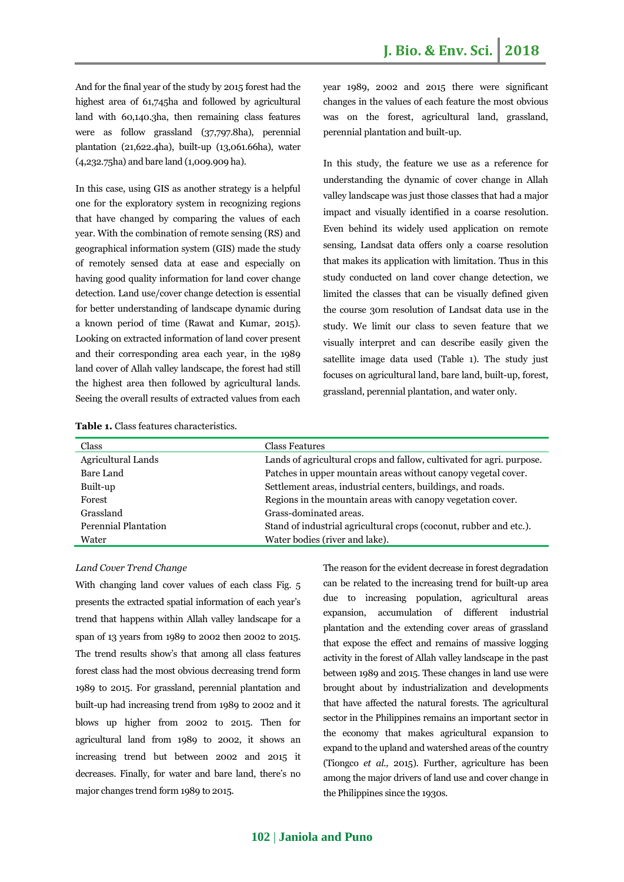And for the final year of the study by 2015 forest had the highest area of 61,745ha and followed by agricultural land with 60,140.3ha, then remaining class features were as follow grassland (37,797.8ha), perennial plantation (21,622.4ha), built-up (13,061.66ha), water (4,232.75ha) and bare land (1,009.909 ha).

In this case, using GIS as another strategy is a helpful one for the exploratory system in recognizing regions that have changed by comparing the values of each year. With the combination of remote sensing (RS) and geographical information system (GIS) made the study of remotely sensed data at ease and especially on having good quality information for land cover change detection. Land use/cover change detection is essential for better understanding of landscape dynamic during a known period of time (Rawat and Kumar, 2015). Looking on extracted information of land cover present and their corresponding area each year, in the 1989 land cover of Allah valley landscape, the forest had still the highest area then followed by agricultural lands. Seeing the overall results of extracted values from each year 1989, 2002 and 2015 there were significant changes in the values of each feature the most obvious was on the forest, agricultural land, grassland, perennial plantation and built-up.

In this study, the feature we use as a reference for understanding the dynamic of cover change in Allah valley landscape was just those classes that had a major impact and visually identified in a coarse resolution. Even behind its widely used application on remote sensing, Landsat data offers only a coarse resolution that makes its application with limitation. Thus in this study conducted on land cover change detection, we limited the classes that can be visually defined given the course 30m resolution of Landsat data use in the study. We limit our class to seven feature that we visually interpret and can describe easily given the satellite image data used (Table 1). The study just focuses on agricultural land, bare land, built-up, forest, grassland, perennial plantation, and water only.

|--|

| Class                       | <b>Class Features</b>                                                 |
|-----------------------------|-----------------------------------------------------------------------|
| Agricultural Lands          | Lands of agricultural crops and fallow, cultivated for agri. purpose. |
| Bare Land                   | Patches in upper mountain areas without canopy vegetal cover.         |
| Built-up                    | Settlement areas, industrial centers, buildings, and roads.           |
| Forest                      | Regions in the mountain areas with canopy vegetation cover.           |
| Grassland                   | Grass-dominated areas.                                                |
| <b>Perennial Plantation</b> | Stand of industrial agricultural crops (coconut, rubber and etc.).    |
| Water                       | Water bodies (river and lake).                                        |

#### *Land Cover Trend Change*

With changing land cover values of each class Fig. 5 presents the extracted spatial information of each year's trend that happens within Allah valley landscape for a span of 13 years from 1989 to 2002 then 2002 to 2015. The trend results show's that among all class features forest class had the most obvious decreasing trend form 1989 to 2015. For grassland, perennial plantation and built-up had increasing trend from 1989 to 2002 and it blows up higher from 2002 to 2015. Then for agricultural land from 1989 to 2002, it shows an increasing trend but between 2002 and 2015 it decreases. Finally, for water and bare land, there's no major changes trend form 1989 to 2015.

The reason for the evident decrease in forest degradation can be related to the increasing trend for built-up area due to increasing population, agricultural areas expansion, accumulation of different industrial plantation and the extending cover areas of grassland that expose the effect and remains of massive logging activity in the forest of Allah valley landscape in the past between 1989 and 2015. These changes in land use were brought about by industrialization and developments that have affected the natural forests. The agricultural sector in the Philippines remains an important sector in the economy that makes agricultural expansion to expand to the upland and watershed areas of the country (Tiongco *et al.,* 2015). Further, agriculture has been among the major drivers of land use and cover change in the Philippines since the 1930s.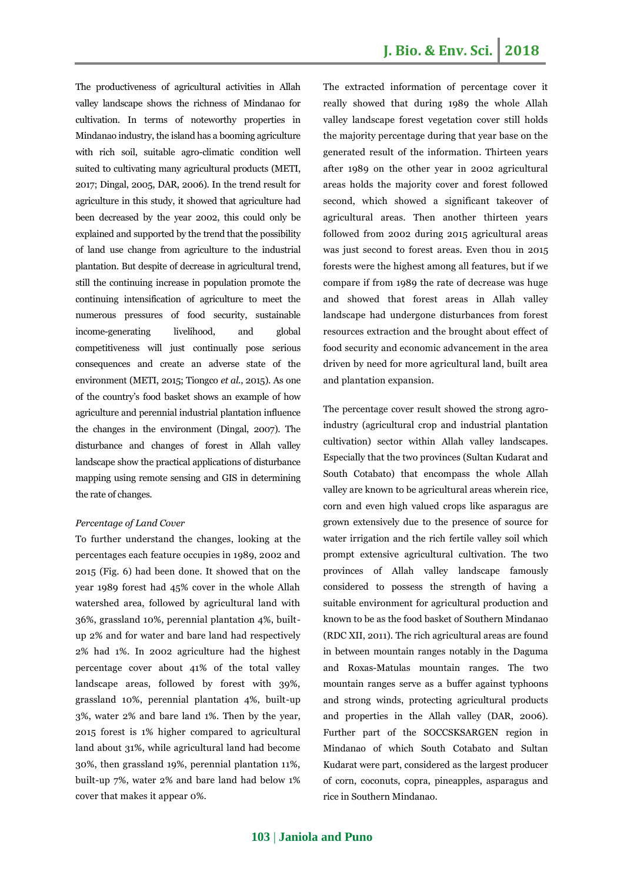The productiveness of agricultural activities in Allah valley landscape shows the richness of Mindanao for cultivation. In terms of noteworthy properties in Mindanao industry, the island has a booming agriculture with rich soil, suitable agro-climatic condition well suited to cultivating many agricultural products (METI, 2017; Dingal, 2005, DAR, 2006). In the trend result for agriculture in this study, it showed that agriculture had been decreased by the year 2002, this could only be explained and supported by the trend that the possibility of land use change from agriculture to the industrial plantation. But despite of decrease in agricultural trend, still the continuing increase in population promote the continuing intensification of agriculture to meet the numerous pressures of food security, sustainable income-generating livelihood, and global competitiveness will just continually pose serious consequences and create an adverse state of the environment (METI, 2015; Tiongco *et al*., 2015). As one of the country's food basket shows an example of how agriculture and perennial industrial plantation influence the changes in the environment (Dingal, 2007). The disturbance and changes of forest in Allah valley landscape show the practical applications of disturbance mapping using remote sensing and GIS in determining the rate of changes.

#### *Percentage of Land Cover*

To further understand the changes, looking at the percentages each feature occupies in 1989, 2002 and 2015 (Fig. 6) had been done. It showed that on the year 1989 forest had 45% cover in the whole Allah watershed area, followed by agricultural land with 36%, grassland 10%, perennial plantation 4%, builtup 2% and for water and bare land had respectively 2% had 1%. In 2002 agriculture had the highest percentage cover about 41% of the total valley landscape areas, followed by forest with 39%, grassland 10%, perennial plantation 4%, built-up 3%, water 2% and bare land 1%. Then by the year, 2015 forest is 1% higher compared to agricultural land about 31%, while agricultural land had become 30%, then grassland 19%, perennial plantation 11%, built-up 7%, water 2% and bare land had below 1% cover that makes it appear 0%.

The extracted information of percentage cover it really showed that during 1989 the whole Allah valley landscape forest vegetation cover still holds the majority percentage during that year base on the generated result of the information. Thirteen years after 1989 on the other year in 2002 agricultural areas holds the majority cover and forest followed second, which showed a significant takeover of agricultural areas. Then another thirteen years followed from 2002 during 2015 agricultural areas was just second to forest areas. Even thou in 2015 forests were the highest among all features, but if we compare if from 1989 the rate of decrease was huge and showed that forest areas in Allah valley landscape had undergone disturbances from forest resources extraction and the brought about effect of food security and economic advancement in the area driven by need for more agricultural land, built area and plantation expansion.

The percentage cover result showed the strong agroindustry (agricultural crop and industrial plantation cultivation) sector within Allah valley landscapes. Especially that the two provinces (Sultan Kudarat and South Cotabato) that encompass the whole Allah valley are known to be agricultural areas wherein rice, corn and even high valued crops like asparagus are grown extensively due to the presence of source for water irrigation and the rich fertile valley soil which prompt extensive agricultural cultivation. The two provinces of Allah valley landscape famously considered to possess the strength of having a suitable environment for agricultural production and known to be as the food basket of Southern Mindanao (RDC XII, 2011). The rich agricultural areas are found in between mountain ranges notably in the Daguma and Roxas-Matulas mountain ranges. The two mountain ranges serve as a buffer against typhoons and strong winds, protecting agricultural products and properties in the Allah valley (DAR, 2006). Further part of the SOCCSKSARGEN region in Mindanao of which South Cotabato and Sultan Kudarat were part, considered as the largest producer of corn, coconuts, copra, pineapples, asparagus and rice in Southern Mindanao.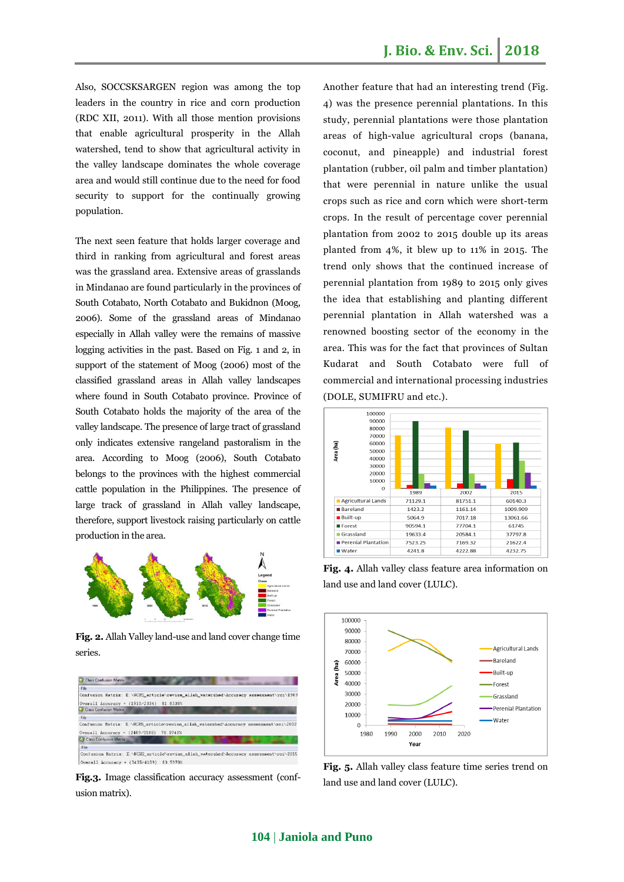Also, SOCCSKSARGEN region was among the top leaders in the country in rice and corn production (RDC XII, 2011). With all those mention provisions that enable agricultural prosperity in the Allah watershed, tend to show that agricultural activity in the valley landscape dominates the whole coverage area and would still continue due to the need for food security to support for the continually growing population.

The next seen feature that holds larger coverage and third in ranking from agricultural and forest areas was the grassland area. Extensive areas of grasslands in Mindanao are found particularly in the provinces of South Cotabato, North Cotabato and Bukidnon (Moog, 2006). Some of the grassland areas of Mindanao especially in Allah valley were the remains of massive logging activities in the past. Based on Fig. 1 and 2, in support of the statement of Moog (2006) most of the classified grassland areas in Allah valley landscapes where found in South Cotabato province. Province of South Cotabato holds the majority of the area of the valley landscape. The presence of large tract of grassland only indicates extensive rangeland pastoralism in the area. According to Moog (2006), South Cotabato belongs to the provinces with the highest commercial cattle population in the Philippines. The presence of large track of grassland in Allah valley landscape, therefore, support livestock raising particularly on cattle production in the area.



**Fig. 2.** Allah Valley land-use and land cover change time series.



**Fig.3.** Image classification accuracy assessment (confusion matrix).

Another feature that had an interesting trend (Fig. 4) was the presence perennial plantations. In this study, perennial plantations were those plantation areas of high-value agricultural crops (banana, coconut, and pineapple) and industrial forest plantation (rubber, oil palm and timber plantation) that were perennial in nature unlike the usual crops such as rice and corn which were short-term crops. In the result of percentage cover perennial plantation from 2002 to 2015 double up its areas planted from 4%, it blew up to 11% in 2015. The trend only shows that the continued increase of perennial plantation from 1989 to 2015 only gives the idea that establishing and planting different perennial plantation in Allah watershed was a renowned boosting sector of the economy in the area. This was for the fact that provinces of Sultan Kudarat and South Cotabato were full of commercial and international processing industries (DOLE, SUMIFRU and etc.).



**Fig. 4.** Allah valley class feature area information on land use and land cover (LULC).



**Fig. 5.** Allah valley class feature time series trend on land use and land cover (LULC).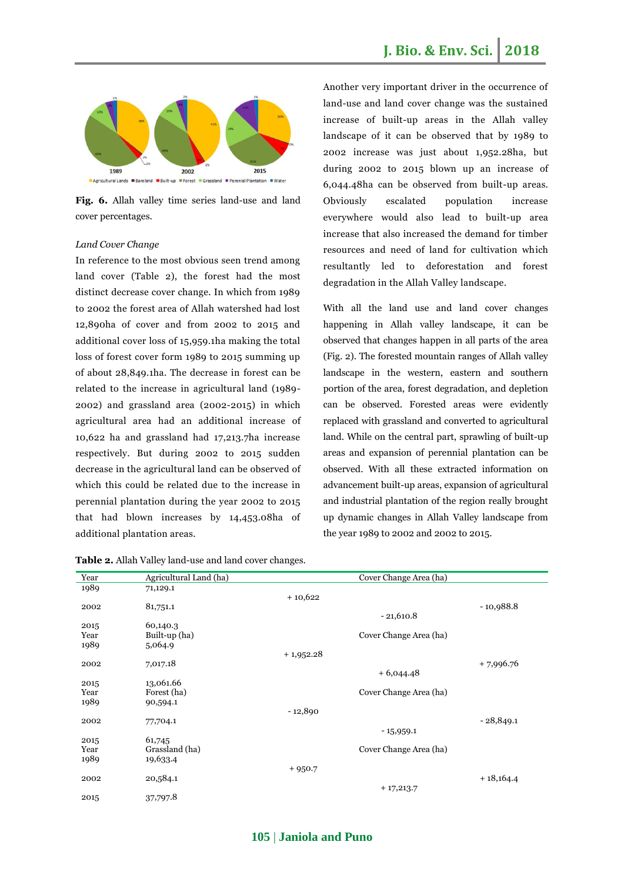

**Fig. 6.** Allah valley time series land-use and land cover percentages.

#### *Land Cover Change*

In reference to the most obvious seen trend among land cover (Table 2), the forest had the most distinct decrease cover change. In which from 1989 to 2002 the forest area of Allah watershed had lost 12,890ha of cover and from 2002 to 2015 and additional cover loss of 15,959.1ha making the total loss of forest cover form 1989 to 2015 summing up of about 28,849.1ha. The decrease in forest can be related to the increase in agricultural land (1989- 2002) and grassland area (2002-2015) in which agricultural area had an additional increase of 10,622 ha and grassland had 17,213.7ha increase respectively. But during 2002 to 2015 sudden decrease in the agricultural land can be observed of which this could be related due to the increase in perennial plantation during the year 2002 to 2015 that had blown increases by 14,453.08ha of additional plantation areas.

Another very important driver in the occurrence of land-use and land cover change was the sustained increase of built-up areas in the Allah valley landscape of it can be observed that by 1989 to 2002 increase was just about 1,952.28ha, but during 2002 to 2015 blown up an increase of 6,044.48ha can be observed from built-up areas. Obviously escalated population increase everywhere would also lead to built-up area increase that also increased the demand for timber resources and need of land for cultivation which resultantly led to deforestation and forest degradation in the Allah Valley landscape.

With all the land use and land cover changes happening in Allah valley landscape, it can be observed that changes happen in all parts of the area (Fig. 2). The forested mountain ranges of Allah valley landscape in the western, eastern and southern portion of the area, forest degradation, and depletion can be observed. Forested areas were evidently replaced with grassland and converted to agricultural land. While on the central part, sprawling of built-up areas and expansion of perennial plantation can be observed. With all these extracted information on advancement built-up areas, expansion of agricultural and industrial plantation of the region really brought up dynamic changes in Allah Valley landscape from the year 1989 to 2002 and 2002 to 2015.

| Year | Agricultural Land (ha) | Cover Change Area (ha) |             |
|------|------------------------|------------------------|-------------|
| 1989 | 71,129.1               |                        |             |
|      |                        | $+10,622$              |             |
| 2002 | 81,751.1               |                        | $-10,988.8$ |
|      |                        | $-21,610.8$            |             |
| 2015 | 60,140.3               |                        |             |
| Year | Built-up (ha)          | Cover Change Area (ha) |             |
| 1989 | 5,064.9                |                        |             |
|      |                        | $+1,952.28$            |             |
| 2002 | 7,017.18               |                        | $+7,996.76$ |
|      |                        | $+6,044.48$            |             |
| 2015 | 13,061.66              |                        |             |
| Year | Forest (ha)            | Cover Change Area (ha) |             |
| 1989 | 90,594.1               |                        |             |
|      |                        | $-12,890$              |             |
| 2002 | 77,704.1               |                        | $-28,849.1$ |
|      |                        | $-15,959.1$            |             |
| 2015 | 61,745                 |                        |             |
| Year | Grassland (ha)         | Cover Change Area (ha) |             |
| 1989 | 19,633.4               |                        |             |
|      |                        | $+950.7$               |             |
| 2002 | 20,584.1               |                        | $+18,164.4$ |
|      |                        | $+17,213.7$            |             |
| 2015 | 37,797.8               |                        |             |

**Table 2.** Allah Valley land-use and land cover changes.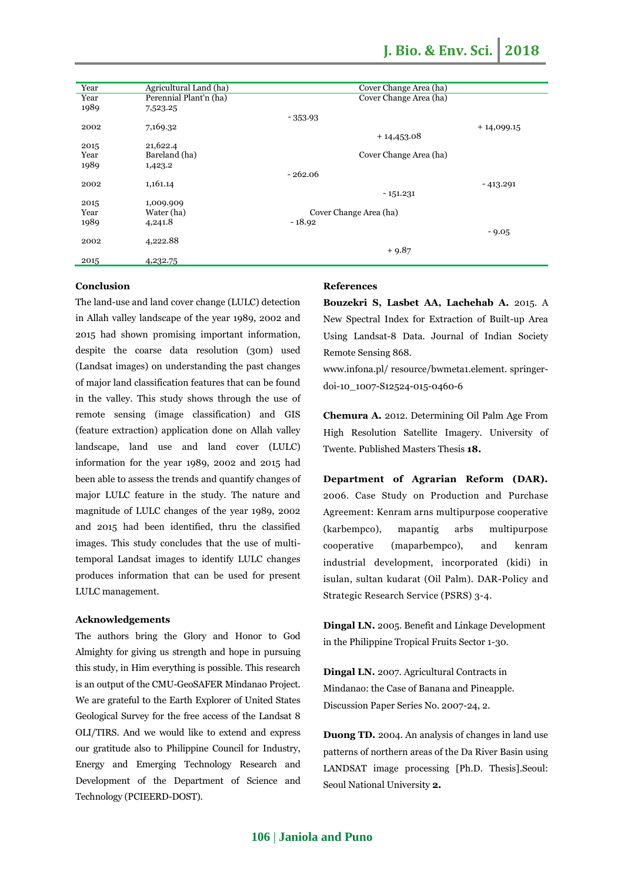| Year | Agricultural Land (ha) | Cover Change Area (ha) |
|------|------------------------|------------------------|
| Year | Perennial Plant'n (ha) | Cover Change Area (ha) |
| 1989 | 7,523.25               |                        |
|      |                        | $-353.93$              |
| 2002 | 7,169.32               | $+14,099.15$           |
|      |                        | $+14,453.08$           |
| 2015 | 21,622.4               |                        |
| Year | Bareland (ha)          | Cover Change Area (ha) |
| 1989 | 1,423.2                |                        |
|      |                        | $-262.06$              |
| 2002 | 1,161.14               | - 413.291              |
|      |                        | $-151.231$             |
| 2015 | 1,009.909              |                        |
| Year | Water (ha)             | Cover Change Area (ha) |
| 1989 | 4,241.8                | $-18.92$               |
|      |                        | $-9.05$                |
| 2002 | 4,222.88               |                        |
|      |                        | $+9.87$                |
| 2015 | 4,232.75               |                        |

#### **Conclusion**

The land-use and land cover change (LULC) detection in Allah valley landscape of the year 1989, 2002 and 2015 had shown promising important information, despite the coarse data resolution (30m) used (Landsat images) on understanding the past changes of major land classification features that can be found in the valley. This study shows through the use of remote sensing (image classification) and GIS (feature extraction) application done on Allah valley landscape, land use and land cover (LULC) information for the year 1989, 2002 and 2015 had been able to assess the trends and quantify changes of major LULC feature in the study. The nature and magnitude of LULC changes of the year 1989, 2002 and 2015 had been identified, thru the classified images. This study concludes that the use of multitemporal Landsat images to identify LULC changes produces information that can be used for present LULC management.

#### **Acknowledgements**

The authors bring the Glory and Honor to God Almighty for giving us strength and hope in pursuing this study, in Him everything is possible. This research is an output of the CMU-GeoSAFER Mindanao Project. We are grateful to the Earth Explorer of United States Geological Survey for the free access of the Landsat 8 OLI/TIRS. And we would like to extend and express our gratitude also to Philippine Council for Industry, Energy and Emerging Technology Research and Development of the Department of Science and Technology (PCIEERD-DOST).

#### **References**

**Bouzekri S, Lasbet AA, Lachehab A.** 2015. A New Spectral Index for Extraction of Built-up Area Using Landsat-8 Data. Journal of Indian Society Remote Sensing 868.

[www.infona.pl/ resource/bwmeta1.element. springer](http://www.infona.pl/%20resource/bwmeta1.element.%20springer-doi-10_1007-S12524-015-0460-6)[doi-10\\_1007-S12524-015-0460-6](http://www.infona.pl/%20resource/bwmeta1.element.%20springer-doi-10_1007-S12524-015-0460-6)

**Chemura A.** 2012. Determining Oil Palm Age From High Resolution Satellite Imagery. University of Twente. Published Masters Thesis **18.**

**Department of Agrarian Reform (DAR).**  2006. Case Study on Production and Purchase Agreement: Kenram arns multipurpose cooperative (karbempco), mapantig arbs multipurpose cooperative (maparbempco), and kenram industrial development, incorporated (kidi) in isulan, sultan kudarat (Oil Palm). DAR-Policy and Strategic Research Service (PSRS) 3-4.

**Dingal LN.** 2005. Benefit and Linkage Development in the Philippine Tropical Fruits Sector 1-30.

**Dingal LN.** 2007. Agricultural Contracts in Mindanao: the Case of Banana and Pineapple. Discussion Paper Series No. 2007-24, 2.

**Duong TD.** 2004. An analysis of changes in land use patterns of northern areas of the Da River Basin using LANDSAT image processing [Ph.D. Thesis].Seoul: Seoul National University **2.**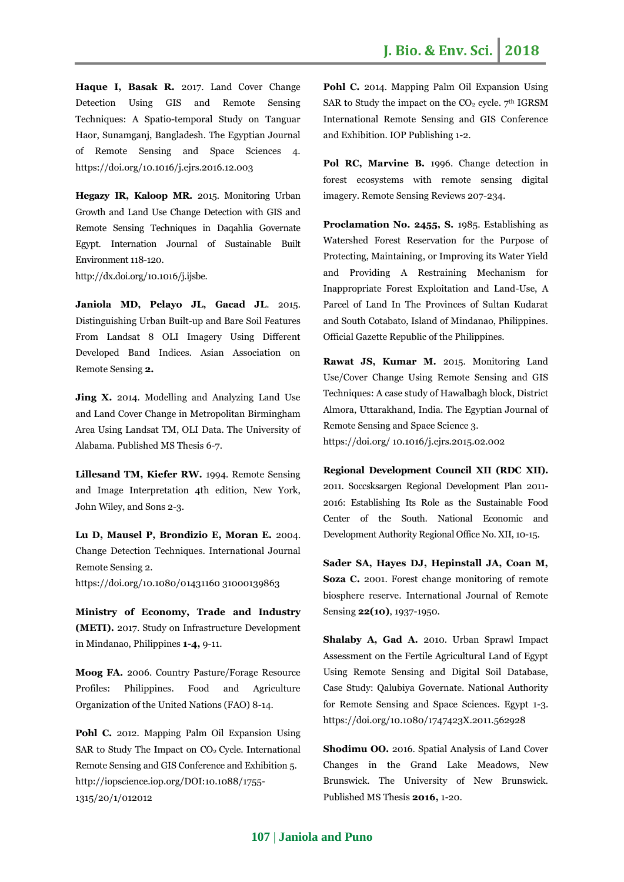**Haque I, Basak R.** 2017. Land Cover Change Detection Using GIS and Remote Sensing Techniques: A Spatio-temporal Study on Tanguar Haor, Sunamganj, Bangladesh. The Egyptian Journal of Remote Sensing and Space Sciences 4. <https://doi.org/10.1016/j.ejrs.2016.12.003>

**Hegazy IR, Kaloop MR.** 2015. Monitoring Urban Growth and Land Use Change Detection with GIS and Remote Sensing Techniques in Daqahlia Governate Egypt. Internation Journal of Sustainable Built Environment 118-120.

http://dx.doi.org/10.1016/j.ijsbe.

**Janiola MD, Pelayo JL, Gacad JL**. 2015. Distinguishing Urban Built-up and Bare Soil Features From Landsat 8 OLI Imagery Using Different Developed Band Indices. Asian Association on Remote Sensing **2.**

**Jing X.** 2014. Modelling and Analyzing Land Use and Land Cover Change in Metropolitan Birmingham Area Using Landsat TM, OLI Data. The University of Alabama. Published MS Thesis 6-7.

**Lillesand TM, Kiefer RW.** 1994. Remote Sensing and Image Interpretation 4th edition, New York, John Wiley, and Sons 2-3.

**Lu D, Mausel P, Brondizio E, Moran E.** 2004. Change Detection Techniques. International Journal Remote Sensing 2.

[https://doi.org/10.1080/01431160 31000139863](https://doi.org/10.1080/01431160%2031000139863)

**Ministry of Economy, Trade and Industry (METI).** 2017. Study on Infrastructure Development in Mindanao, Philippines **1-4,** 9-11.

**Moog FA.** 2006. Country Pasture/Forage Resource Profiles: Philippines. Food and Agriculture Organization of the United Nations (FAO) 8-14.

**Pohl C.** 2012. Mapping Palm Oil Expansion Using SAR to Study The Impact on CO<sub>2</sub> Cycle. International Remote Sensing and GIS Conference and Exhibition 5. http://iopscience.iop.org/DOI:10.1088/1755- 1315/20/1/012012

Pohl C. 2014. Mapping Palm Oil Expansion Using SAR to Study the impact on the  $CO<sub>2</sub>$  cycle.  $7<sup>th</sup>$  IGRSM International Remote Sensing and GIS Conference and Exhibition. IOP Publishing 1-2.

**Pol RC, Marvine B.** 1996. Change detection in forest ecosystems with remote sensing digital imagery. Remote Sensing Reviews 207-234.

**Proclamation No. 2455, S.** 1985. Establishing as Watershed Forest Reservation for the Purpose of Protecting, Maintaining, or Improving its Water Yield and Providing A Restraining Mechanism for Inappropriate Forest Exploitation and Land-Use, A Parcel of Land In The Provinces of Sultan Kudarat and South Cotabato, Island of Mindanao, Philippines. Official Gazette Republic of the Philippines.

**Rawat JS, Kumar M.** 2015. Monitoring Land Use/Cover Change Using Remote Sensing and GIS Techniques: A case study of Hawalbagh block, District Almora, Uttarakhand, India. The Egyptian Journal of Remote Sensing and Space Science 3. [https://doi.org/ 10.1016/j.ejrs.2015.02.002](https://doi.org/%2010.1016/j.ejrs.2015.02.002)

**Regional Development Council XII (RDC XII).**  2011. Soccsksargen Regional Development Plan 2011- 2016: Establishing Its Role as the Sustainable Food Center of the South. National Economic and Development Authority Regional Office No. XII, 10-15.

**Sader SA, Hayes DJ, Hepinstall JA, Coan M, Soza C.** 2001. Forest change monitoring of remote biosphere reserve. International Journal of Remote Sensing **22(10)**, 1937-1950.

**Shalaby A, Gad A.** 2010. Urban Sprawl Impact Assessment on the Fertile Agricultural Land of Egypt Using Remote Sensing and Digital Soil Database, Case Study: Qalubiya Governate. National Authority for Remote Sensing and Space Sciences. Egypt 1-3. <https://doi.org/10.1080/1747423X.2011.562928>

**Shodimu OO.** 2016. Spatial Analysis of Land Cover Changes in the Grand Lake Meadows, New Brunswick. The University of New Brunswick. Published MS Thesis **2016,** 1-20.